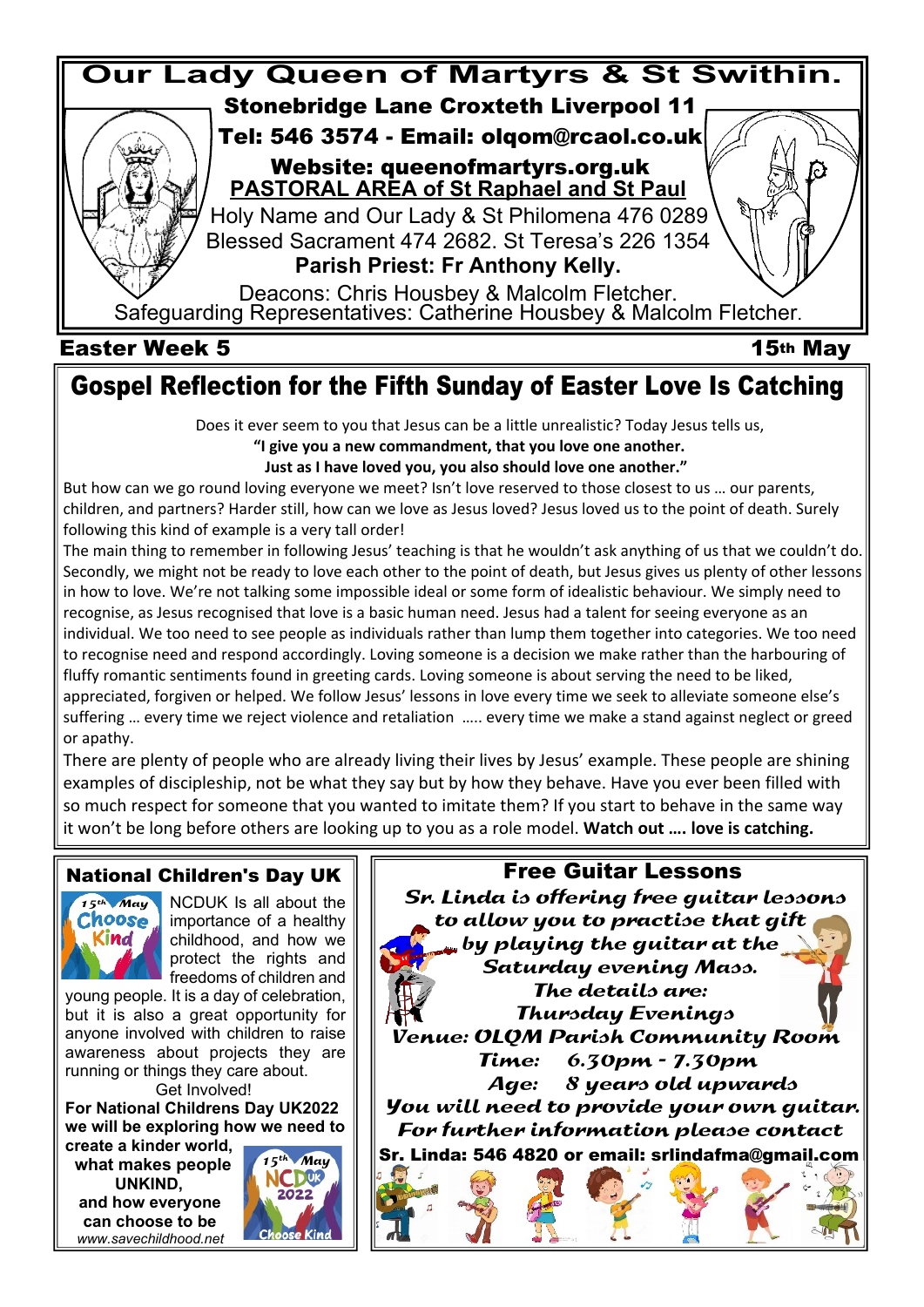

#### **Easter Week 5** 15<sup>th</sup> May

# **Gospel Reflection for the Fifth Sunday of Easter Love Is Catching**

Does it ever seem to you that Jesus can be a little unrealistic? Today Jesus tells us,

 **"I give you a new commandment, that you love one another.**

 **Just as I have loved you, you also should love one another."**

But how can we go round loving everyone we meet? Isn't love reserved to those closest to us … our parents, children, and partners? Harder still, how can we love as Jesus loved? Jesus loved us to the point of death. Surely following this kind of example is a very tall order!

The main thing to remember in following Jesus' teaching is that he wouldn't ask anything of us that we couldn't do. Secondly, we might not be ready to love each other to the point of death, but Jesus gives us plenty of other lessons in how to love. We're not talking some impossible ideal or some form of idealistic behaviour. We simply need to recognise, as Jesus recognised that love is a basic human need. Jesus had a talent for seeing everyone as an individual. We too need to see people as individuals rather than lump them together into categories. We too need to recognise need and respond accordingly. Loving someone is a decision we make rather than the harbouring of fluffy romantic sentiments found in greeting cards. Loving someone is about serving the need to be liked, appreciated, forgiven or helped. We follow Jesus' lessons in love every time we seek to alleviate someone else's suffering … every time we reject violence and retaliation ….. every time we make a stand against neglect or greed or apathy.

There are plenty of people who are already living their lives by Jesus' example. These people are shining examples of discipleship, not be what they say but by how they behave. Have you ever been filled with so much respect for someone that you wanted to imitate them? If you start to behave in the same way it won't be long before others are looking up to you as a role model. **Watch out …. love is catching.**

#### **National Children's Day UK**



NCDUK Is all about the importance of a healthy childhood, and how we protect the rights and freedoms of children and

young people. It is a day of celebration, but it is also a great opportunity for anyone involved with children to raise awareness about projects they are running or things they care about.

Get Involved!

**For National Childrens Day UK2022 we will be exploring how we need to create a kinder world,**

 **what makes people UNKIND, and how everyone can choose to be**<br>*choose* Kind.  *www.savechildhood.net*



 **Free Guitar Lessons**

 Sr. Linda is offering free guitar lessons to allow you to practise that gift by playing the guitar at the Saturday evening Mass. The details are: Thursday Evenings Venue: OLQM Parish Community Room Time: 6.30pm - 7.30pm Age: 8 years old upwards You will need to provide your own guitar. For further information please contact **Sr. Linda: 546 4820 or email: srlindafma@gmail.com**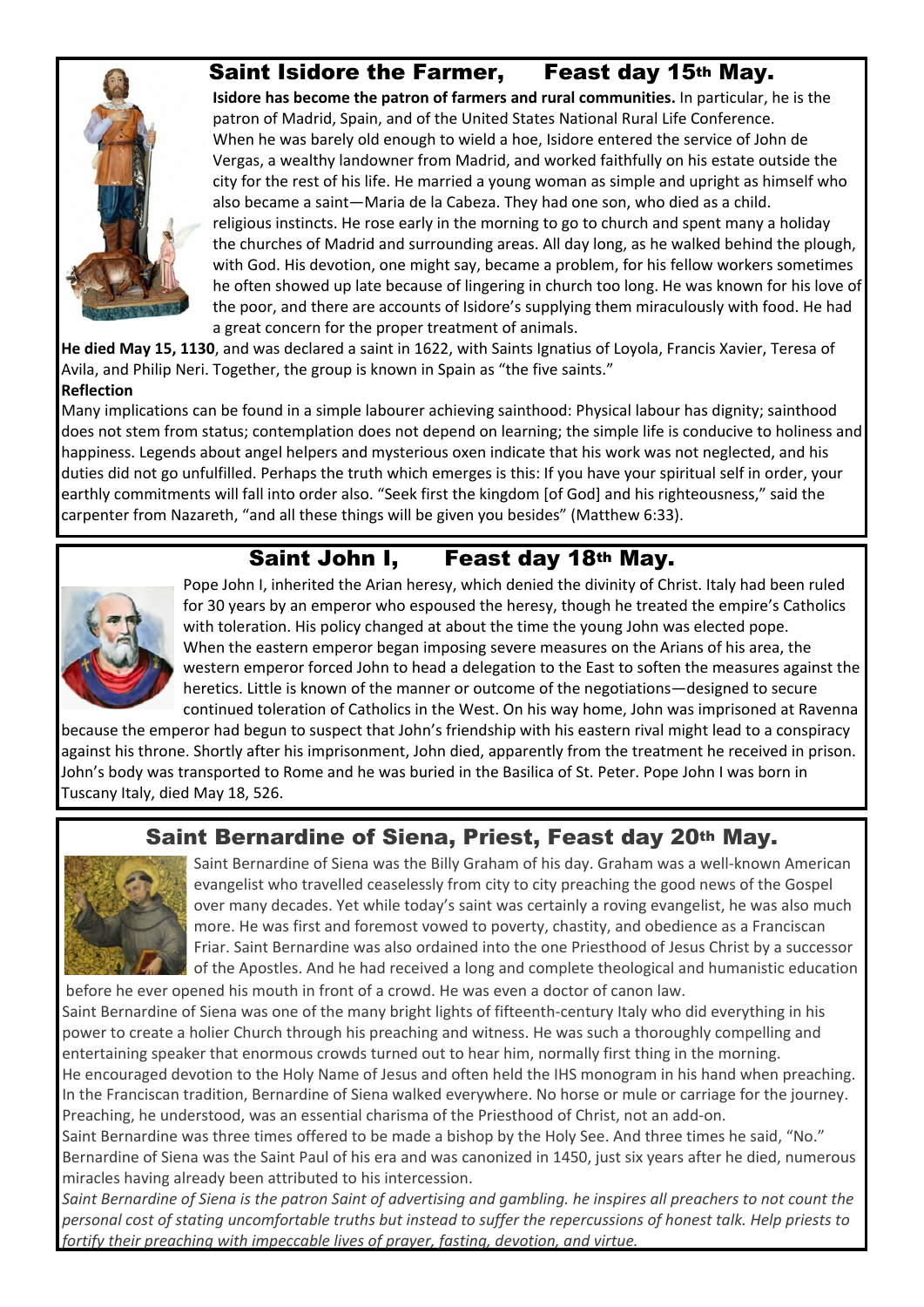### **Saint Isidore the Farmer, Feast day 15th May.**



**Isidore has become the patron of farmers and rural communities.** In particular, he is the patron of Madrid, Spain, and of the United States National Rural Life Conference. When he was barely old enough to wield a hoe, Isidore entered the service of John de Vergas, a wealthy landowner from Madrid, and worked faithfully on his estate outside the city for the rest of his life. He married a young woman as simple and upright as himself who also became a saint—Maria de la Cabeza. They had one son, who died as a child. religious instincts. He rose early in the morning to go to church and spent many a holiday the churches of Madrid and surrounding areas. All day long, as he walked behind the plough, with God. His devotion, one might say, became a problem, for his fellow workers sometimes he often showed up late because of lingering in church too long. He was known for his love of the poor, and there are accounts of Isidore's supplying them miraculously with food. He had a great concern for the proper treatment of animals.

**He died May 15, 1130**, and was declared a saint in 1622, with Saints Ignatius of Loyola, Francis Xavier, Teresa of Avila, and Philip Neri. Together, the group is known in Spain as "the five saints." **Reflection**

Many implications can be found in a simple labourer achieving sainthood: Physical labour has dignity; sainthood does not stem from status; contemplation does not depend on learning; the simple life is conducive to holiness and happiness. Legends about angel helpers and mysterious oxen indicate that his work was not neglected, and his duties did not go unfulfilled. Perhaps the truth which emerges is this: If you have your spiritual self in order, your earthly commitments will fall into order also. "Seek first the kingdom [of God] and his righteousness," said the carpenter from Nazareth, "and all these things will be given you besides" (Matthew 6:33).

# **Saint John I, Feast day 18th May.**



Pope John I, inherited the Arian heresy, which denied the divinity of Christ. Italy had been ruled for 30 years by an emperor who espoused the heresy, though he treated the empire's Catholics with toleration. His policy changed at about the time the young John was elected pope. When the eastern emperor began imposing severe measures on the Arians of his area, the western emperor forced John to head a delegation to the East to soften the measures against the heretics. Little is known of the manner or outcome of the negotiations—designed to secure continued toleration of Catholics in the West. On his way home, John was imprisoned at Ravenna

because the emperor had begun to suspect that John's friendship with his eastern rival might lead to a conspiracy against his throne. Shortly after his imprisonment, John died, apparently from the treatment he received in prison. John's body was transported to Rome and he was buried in the Basilica of St. Peter. Pope John I was born in Tuscany Italy, died May 18, 526.

# **Saint Bernardine of Siena, Priest, Feast day 20th May.**



Saint Bernardine of Siena was the Billy Graham of his day. Graham was a well-known American evangelist who travelled ceaselessly from city to city preaching the good news of the Gospel over many decades. Yet while today's saint was certainly a roving evangelist, he was also much more. He was first and foremost vowed to poverty, chastity, and obedience as a Franciscan Friar. Saint Bernardine was also ordained into the one Priesthood of Jesus Christ by a successor of the Apostles. And he had received a long and complete theological and humanistic education

 before he ever opened his mouth in front of a crowd. He was even a doctor of canon law. Saint Bernardine of Siena was one of the many bright lights of fifteenth-century Italy who did everything in his power to create a holier Church through his preaching and witness. He was such a thoroughly compelling and entertaining speaker that enormous crowds turned out to hear him, normally first thing in the morning. He encouraged devotion to the Holy Name of Jesus and often held the IHS monogram in his hand when preaching. In the Franciscan tradition, Bernardine of Siena walked everywhere. No horse or mule or carriage for the journey. Preaching, he understood, was an essential charisma of the Priesthood of Christ, not an add-on.

Saint Bernardine was three times offered to be made a bishop by the Holy See. And three times he said, "No." Bernardine of Siena was the Saint Paul of his era and was canonized in 1450, just six years after he died, numerous miracles having already been attributed to his intercession.

*Saint Bernardine of Siena is the patron Saint of advertising and gambling. he inspires all preachers to not count the personal cost of stating uncomfortable truths but instead to suffer the repercussions of honest talk. Help priests to fortify their preaching with impeccable lives of prayer, fasting, devotion, and virtue.*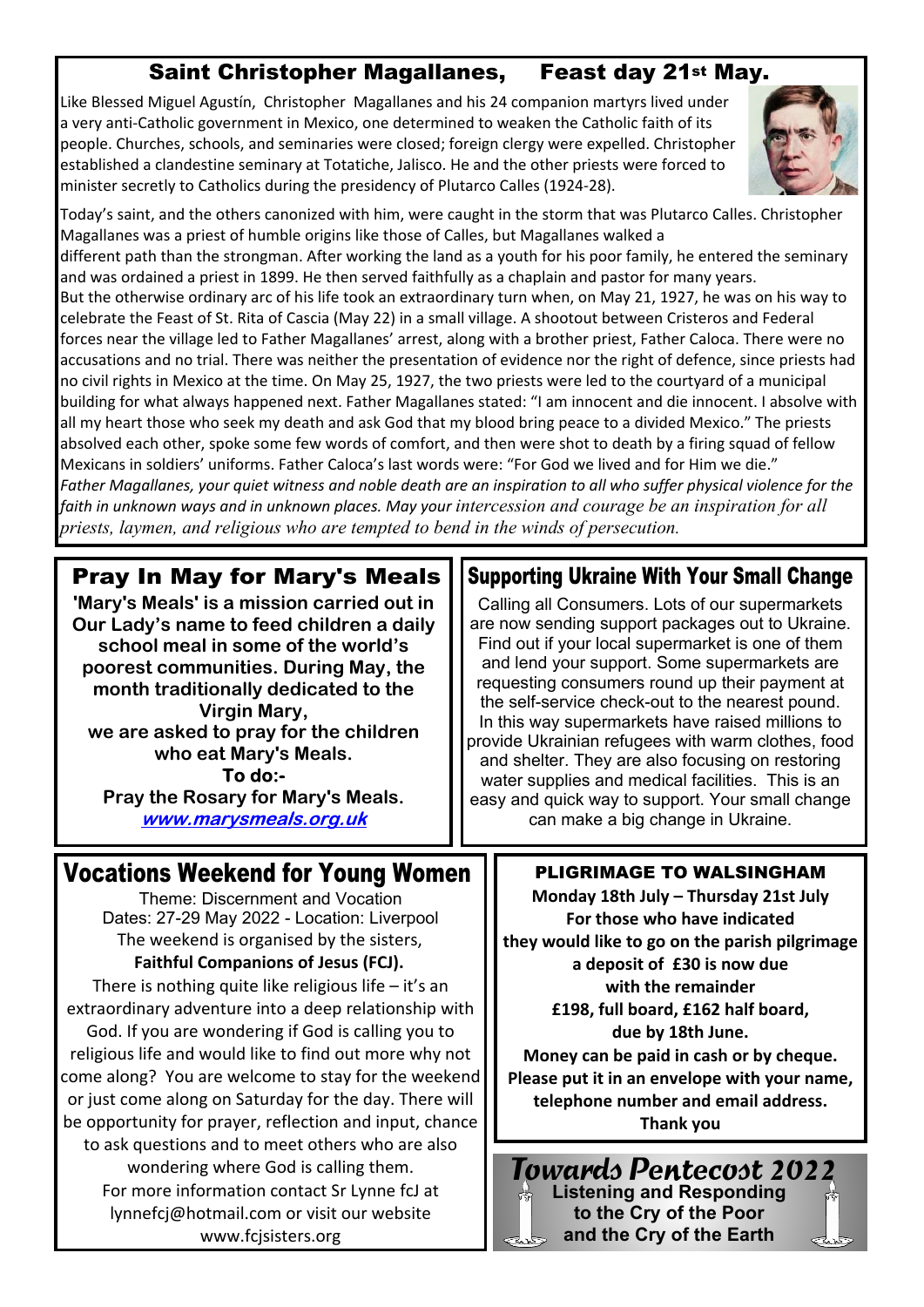# **Saint Christopher Magallanes, Feast day 21st May.**

Like Blessed Miguel Agustín, Christopher Magallanes and his 24 companion martyrs lived under a very anti-Catholic government in Mexico, one determined to weaken the Catholic faith of its people. Churches, schools, and seminaries were closed; foreign clergy were expelled. Christopher established a clandestine seminary at Totatiche, Jalisco. He and the other priests were forced to minister secretly to Catholics during the presidency of Plutarco Calles (1924-28).



Today's saint, and the others canonized with him, were caught in the storm that was Plutarco Calles. Christopher Magallanes was a priest of humble origins like those of Calles, but Magallanes walked a

different path than the strongman. After working the land as a youth for his poor family, he entered the seminary and was ordained a priest in 1899. He then served faithfully as a chaplain and pastor for many years. But the otherwise ordinary arc of his life took an extraordinary turn when, on May 21, 1927, he was on his way to celebrate the Feast of St. Rita of Cascia (May 22) in a small village. A shootout between Cristeros and Federal forces near the village led to Father Magallanes' arrest, along with a brother priest, Father Caloca. There were no accusations and no trial. There was neither the presentation of evidence nor the right of defence, since priests had no civil rights in Mexico at the time. On May 25, 1927, the two priests were led to the courtyard of a municipal building for what always happened next. Father Magallanes stated: "I am innocent and die innocent. I absolve with all my heart those who seek my death and ask God that my blood bring peace to a divided Mexico." The priests absolved each other, spoke some few words of comfort, and then were shot to death by a firing squad of fellow Mexicans in soldiers' uniforms. Father Caloca's last words were: "For God we lived and for Him we die." *Father Magallanes, your quiet witness and noble death are an inspiration to all who suffer physical violence for the* faith in unknown ways and in unknown places. May your *intercession and courage be an inspiration for all priests, laymen, and religious who are tempted to bend in the winds of persecution.*

#### **Pray In May for Mary's Meals**

**'Mary's Meals' is a mission carried out in Our Lady's name to feed children a daily school meal in some of the world's poorest communities. During May, the month traditionally dedicated to the Virgin Mary, we are asked to pray for the children who eat Mary's Meals.** To do:-**Pray the Rosary for Mary's Meals.** www.marysmeals.org.uk

# **Vocations Weekend for Young Women || PLIGRIMAGE TO WALSINGHAM**

Theme: Discernment and Vocation Dates: 27-29 May 2022 - Location: Liverpool The weekend is organised by the sisters, **Faithful Companions of Jesus (FCJ).**

There is nothing quite like religious life  $-$  it's an extraordinary adventure into a deep relationship with God. If you are wondering if God is calling you to religious life and would like to find out more why not come along? You are welcome to stay for the weekend or just come along on Saturday for the day. There will be opportunity for prayer, reflection and input, chance to ask questions and to meet others who are also wondering where God is calling them. For more information contact Sr Lynne fcJ at lynnefcj@hotmail.com or visit our website www.fcjsisters.org

# **Supporting Ukraine With Your Small Change**

Calling all Consumers. Lots of our supermarkets are now sending support packages out to Ukraine. Find out if your local supermarket is one of them and lend your support. Some supermarkets are requesting consumers round up their payment at the self-service check-out to the nearest pound. In this way supermarkets have raised millions to provide Ukrainian refugees with warm clothes, food and shelter. They are also focusing on restoring water supplies and medical facilities. This is an easy and quick way to support. Your small change can make a big change in Ukraine.

**Monday 18th July – Thursday 21st July For those who have indicated they would like to go on the parish pilgrimage a deposit of £30 is now due with the remainder £198, full board, £162 half board, due by 18th June. Money can be paid in cash or by cheque. Please put it in an envelope with your name, telephone number and email address.**

**Thank you**